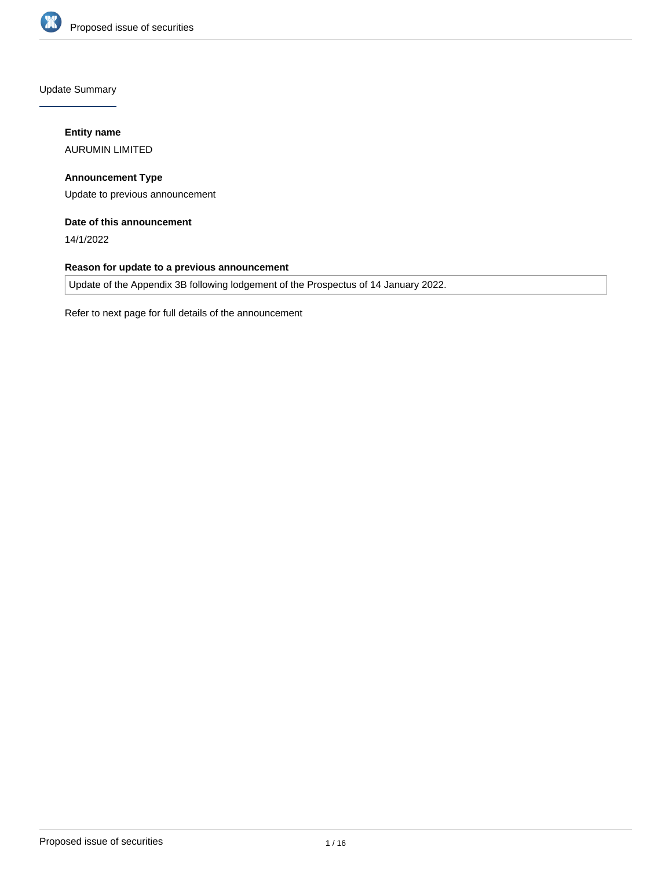

Update Summary

# **Entity name**

AURUMIN LIMITED

**Announcement Type** Update to previous announcement

# **Date of this announcement**

14/1/2022

# **Reason for update to a previous announcement**

Update of the Appendix 3B following lodgement of the Prospectus of 14 January 2022.

Refer to next page for full details of the announcement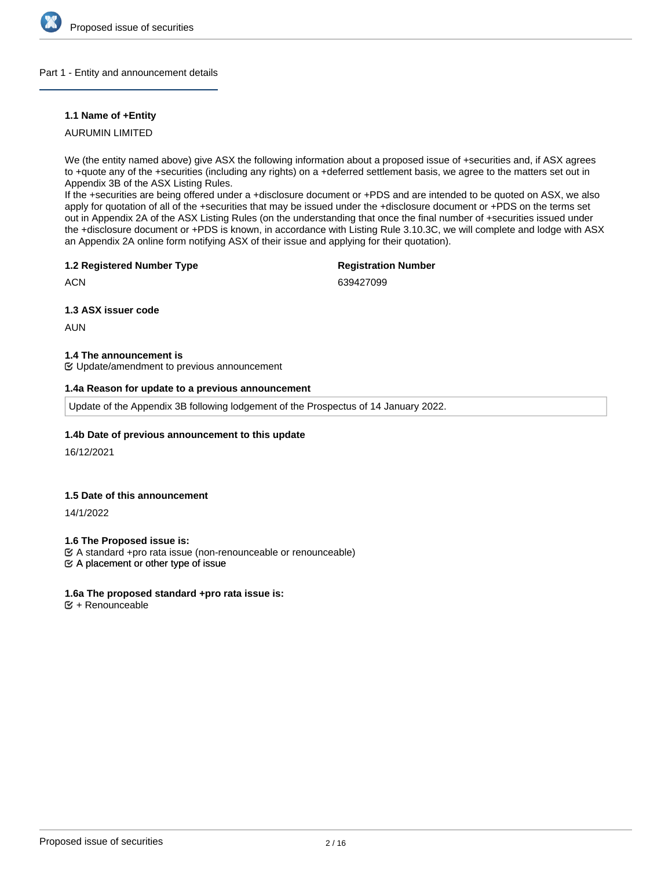

## Part 1 - Entity and announcement details

# **1.1 Name of +Entity**

AURUMIN LIMITED

We (the entity named above) give ASX the following information about a proposed issue of +securities and, if ASX agrees to +quote any of the +securities (including any rights) on a +deferred settlement basis, we agree to the matters set out in Appendix 3B of the ASX Listing Rules.

If the +securities are being offered under a +disclosure document or +PDS and are intended to be quoted on ASX, we also apply for quotation of all of the +securities that may be issued under the +disclosure document or +PDS on the terms set out in Appendix 2A of the ASX Listing Rules (on the understanding that once the final number of +securities issued under the +disclosure document or +PDS is known, in accordance with Listing Rule 3.10.3C, we will complete and lodge with ASX an Appendix 2A online form notifying ASX of their issue and applying for their quotation).

# **1.2 Registered Number Type**

# **Registration Number**

**ACN** 

639427099

**1.3 ASX issuer code**

AUN

# **1.4 The announcement is**

Update/amendment to previous announcement

# **1.4a Reason for update to a previous announcement**

Update of the Appendix 3B following lodgement of the Prospectus of 14 January 2022.

# **1.4b Date of previous announcement to this update**

16/12/2021

# **1.5 Date of this announcement**

14/1/2022

**1.6 The Proposed issue is:**

 $\mathfrak{C}$  A placement or other type of issue A standard +pro rata issue (non-renounceable or renounceable)

# **1.6a The proposed standard +pro rata issue is:**

 $<sup>•</sup>$  + Renounceable</sup>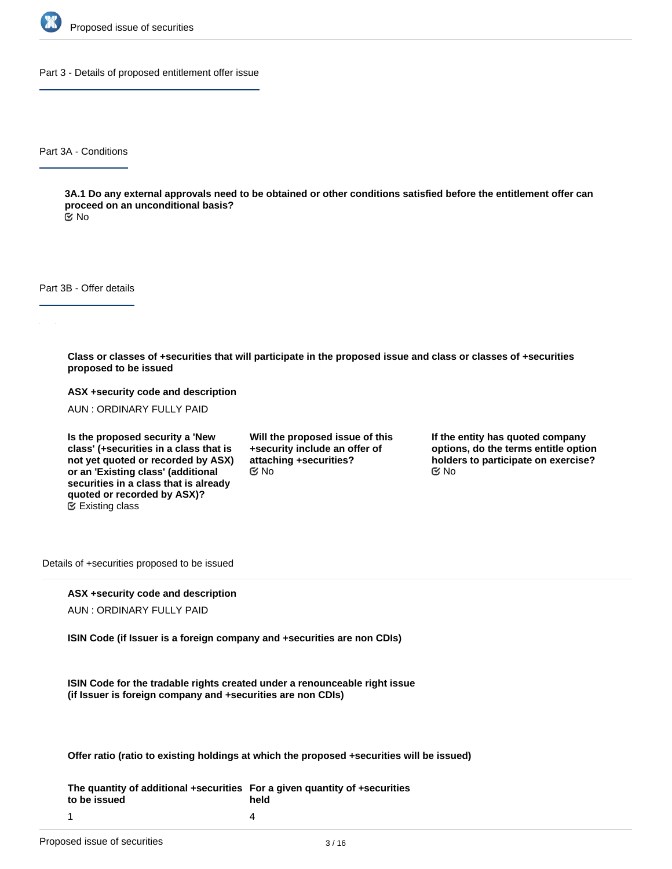

Part 3 - Details of proposed entitlement offer issue

Part 3A - Conditions

**3A.1 Do any external approvals need to be obtained or other conditions satisfied before the entitlement offer can proceed on an unconditional basis?**

No

Part 3B - Offer details

**Class or classes of +securities that will participate in the proposed issue and class or classes of +securities proposed to be issued**

**ASX +security code and description**

AUN : ORDINARY FULLY PAID

**Is the proposed security a 'New class' (+securities in a class that is not yet quoted or recorded by ASX) or an 'Existing class' (additional securities in a class that is already quoted or recorded by ASX)?** Existing class

**Will the proposed issue of this +security include an offer of attaching +securities?**  $\mathfrak{S}$  No  $\mathfrak{S}$  No  $\mathfrak{S}$  No

**If the entity has quoted company options, do the terms entitle option holders to participate on exercise?**

Details of +securities proposed to be issued

# **ASX +security code and description**

AUN : ORDINARY FULLY PAID

**ISIN Code (if Issuer is a foreign company and +securities are non CDIs)**

**ISIN Code for the tradable rights created under a renounceable right issue (if Issuer is foreign company and +securities are non CDIs)**

**Offer ratio (ratio to existing holdings at which the proposed +securities will be issued)**

**The quantity of additional +securities For a given quantity of +securities to be issued held** 4

1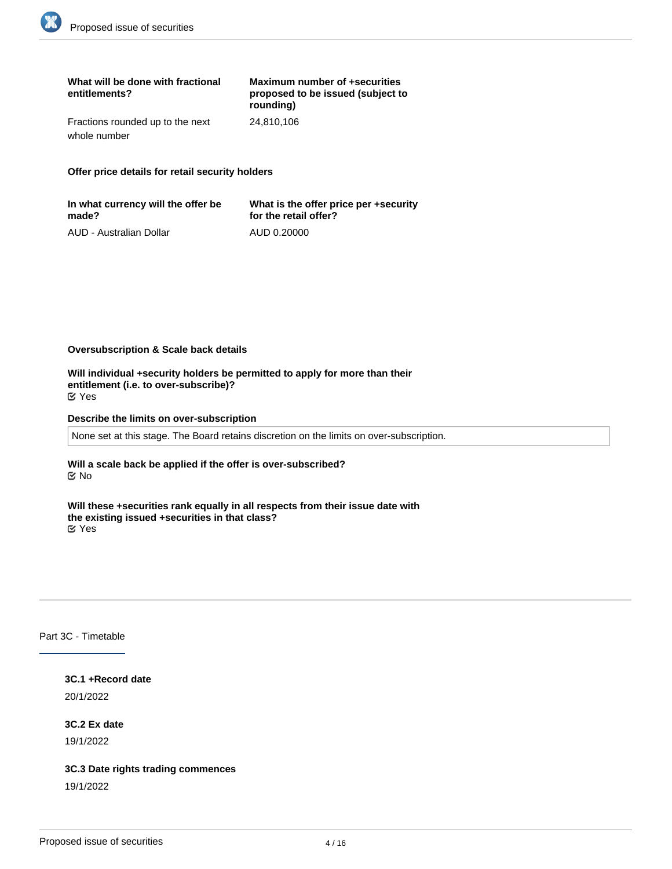| What will be done with fractional<br>entitlements? | Maximum number of +securities<br>proposed to be issued (subject to<br>rounding) |
|----------------------------------------------------|---------------------------------------------------------------------------------|
| Fractions rounded up to the next                   | 24.810.106                                                                      |
| whole number                                       |                                                                                 |

**Offer price details for retail security holders**

| In what currency will the offer be | What is the offer price per +security |
|------------------------------------|---------------------------------------|
| made?                              | for the retail offer?                 |
| AUD - Australian Dollar            | AUD 0.20000                           |

**Oversubscription & Scale back details**

**Will individual +security holders be permitted to apply for more than their entitlement (i.e. to over-subscribe)?** Yes

**Describe the limits on over-subscription**

None set at this stage. The Board retains discretion on the limits on over-subscription.

**Will a scale back be applied if the offer is over-subscribed?** No

**Will these +securities rank equally in all respects from their issue date with the existing issued +securities in that class?** Yes

Part 3C - Timetable

**3C.1 +Record date** 20/1/2022

**3C.2 Ex date**

19/1/2022

**3C.3 Date rights trading commences**

19/1/2022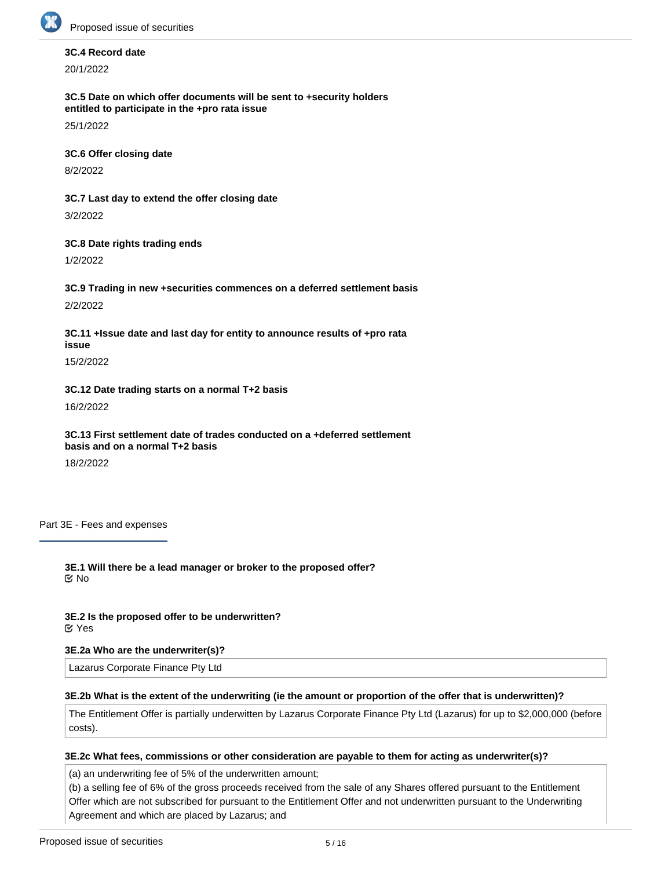

# **3C.4 Record date**

20/1/2022

**3C.5 Date on which offer documents will be sent to +security holders entitled to participate in the +pro rata issue**

25/1/2022

**3C.6 Offer closing date**

8/2/2022

**3C.7 Last day to extend the offer closing date** 3/2/2022

**3C.8 Date rights trading ends**

1/2/2022

**3C.9 Trading in new +securities commences on a deferred settlement basis**

2/2/2022

**3C.11 +Issue date and last day for entity to announce results of +pro rata issue**

15/2/2022

**3C.12 Date trading starts on a normal T+2 basis**

16/2/2022

**3C.13 First settlement date of trades conducted on a +deferred settlement basis and on a normal T+2 basis**

18/2/2022

Part 3E - Fees and expenses

**3E.1 Will there be a lead manager or broker to the proposed offer?** No

**3E.2 Is the proposed offer to be underwritten?** Yes

# **3E.2a Who are the underwriter(s)?**

Lazarus Corporate Finance Pty Ltd

# **3E.2b What is the extent of the underwriting (ie the amount or proportion of the offer that is underwritten)?**

The Entitlement Offer is partially underwitten by Lazarus Corporate Finance Pty Ltd (Lazarus) for up to \$2,000,000 (before costs).

# **3E.2c What fees, commissions or other consideration are payable to them for acting as underwriter(s)?**

(a) an underwriting fee of 5% of the underwritten amount;

(b) a selling fee of 6% of the gross proceeds received from the sale of any Shares offered pursuant to the Entitlement Offer which are not subscribed for pursuant to the Entitlement Offer and not underwritten pursuant to the Underwriting Agreement and which are placed by Lazarus; and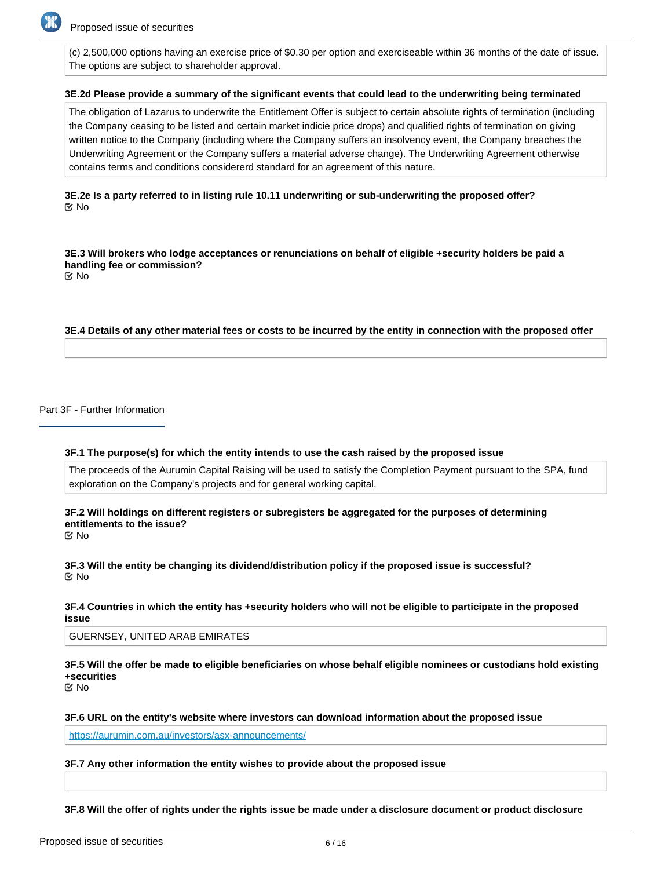

(c) 2,500,000 options having an exercise price of \$0.30 per option and exerciseable within 36 months of the date of issue. The options are subject to shareholder approval.

### **3E.2d Please provide a summary of the significant events that could lead to the underwriting being terminated**

The obligation of Lazarus to underwrite the Entitlement Offer is subject to certain absolute rights of termination (including the Company ceasing to be listed and certain market indicie price drops) and qualified rights of termination on giving written notice to the Company (including where the Company suffers an insolvency event, the Company breaches the Underwriting Agreement or the Company suffers a material adverse change). The Underwriting Agreement otherwise contains terms and conditions considererd standard for an agreement of this nature.

# **3E.2e Is a party referred to in listing rule 10.11 underwriting or sub-underwriting the proposed offer? K** No

**3E.3 Will brokers who lodge acceptances or renunciations on behalf of eligible +security holders be paid a handling fee or commission?** No

**3E.4 Details of any other material fees or costs to be incurred by the entity in connection with the proposed offer**

Part 3F - Further Information

#### **3F.1 The purpose(s) for which the entity intends to use the cash raised by the proposed issue**

The proceeds of the Aurumin Capital Raising will be used to satisfy the Completion Payment pursuant to the SPA, fund exploration on the Company's projects and for general working capital.

**3F.2 Will holdings on different registers or subregisters be aggregated for the purposes of determining entitlements to the issue?**

No

**3F.3 Will the entity be changing its dividend/distribution policy if the proposed issue is successful?** No

### **3F.4 Countries in which the entity has +security holders who will not be eligible to participate in the proposed issue**

GUERNSEY, UNITED ARAB EMIRATES

**3F.5 Will the offer be made to eligible beneficiaries on whose behalf eligible nominees or custodians hold existing +securities**

No

#### **3F.6 URL on the entity's website where investors can download information about the proposed issue**

<https://aurumin.com.au/investors/asx-announcements/>

# **3F.7 Any other information the entity wishes to provide about the proposed issue**

**statement under Chapter 6D or Part 7.9 of the Corporations Act (as applicable)?**

**3F.8 Will the offer of rights under the rights issue be made under a disclosure document or product disclosure**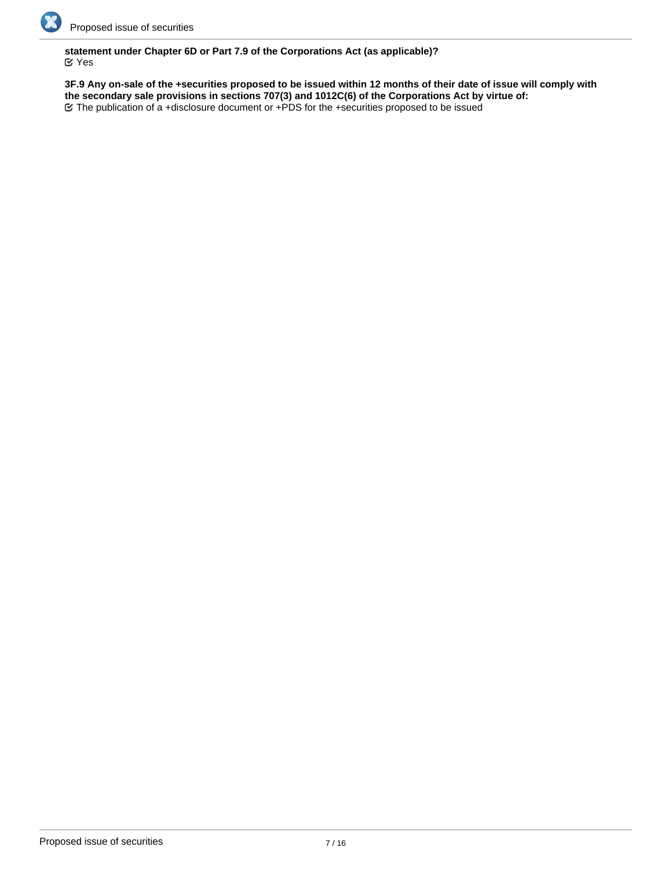

# **statement under Chapter 6D or Part 7.9 of the Corporations Act (as applicable)?** Yes

**3F.9 Any on-sale of the +securities proposed to be issued within 12 months of their date of issue will comply with the secondary sale provisions in sections 707(3) and 1012C(6) of the Corporations Act by virtue of:** The publication of a +disclosure document or +PDS for the +securities proposed to be issued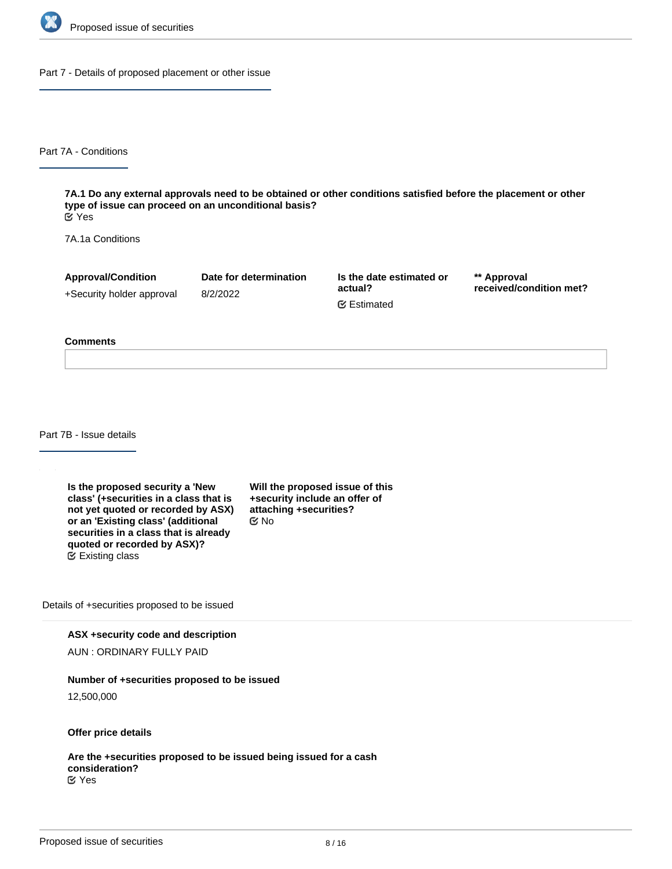

Part 7 - Details of proposed placement or other issue

Part 7A - Conditions

**7A.1 Do any external approvals need to be obtained or other conditions satisfied before the placement or other type of issue can proceed on an unconditional basis?** Yes

7A.1a Conditions

**Approval/Condition** +Security holder approval **Date for determination** 8/2/2022

**Is the date estimated or actual?** Estimated

**\*\* Approval received/condition met?**

#### **Comments**

Part 7B - Issue details

**Is the proposed security a 'New class' (+securities in a class that is not yet quoted or recorded by ASX) or an 'Existing class' (additional securities in a class that is already quoted or recorded by ASX)?** Existing class

**Will the proposed issue of this +security include an offer of attaching +securities?** No

Details of +securities proposed to be issued

**ASX +security code and description**

AUN : ORDINARY FULLY PAID

#### **Number of +securities proposed to be issued**

12,500,000

**Offer price details**

**Are the +securities proposed to be issued being issued for a cash consideration?** Yes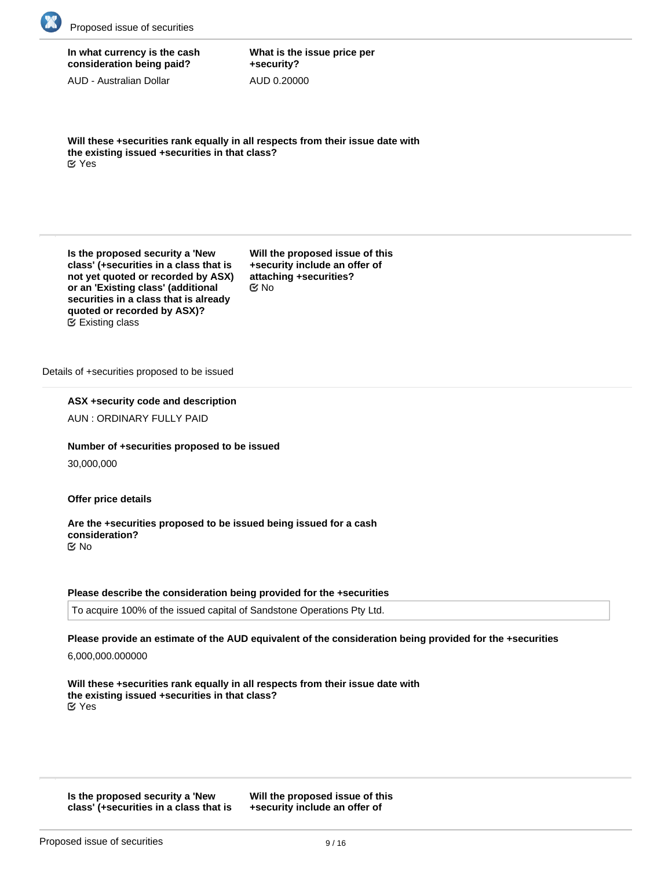

# **In what currency is the cash consideration being paid?**

AUD - Australian Dollar

**What is the issue price per +security?** AUD 0.20000

**Will these +securities rank equally in all respects from their issue date with the existing issued +securities in that class?** Yes

**Is the proposed security a 'New class' (+securities in a class that is not yet quoted or recorded by ASX) or an 'Existing class' (additional securities in a class that is already quoted or recorded by ASX)?** Existing class

**Will the proposed issue of this +security include an offer of attaching +securities?** No

Details of +securities proposed to be issued

**ASX +security code and description**

AUN : ORDINARY FULLY PAID

**Number of +securities proposed to be issued**

30,000,000

**Offer price details**

**Are the +securities proposed to be issued being issued for a cash consideration?** No

# **Please describe the consideration being provided for the +securities**

To acquire 100% of the issued capital of Sandstone Operations Pty Ltd.

**Please provide an estimate of the AUD equivalent of the consideration being provided for the +securities**

6,000,000.000000

**Will these +securities rank equally in all respects from their issue date with the existing issued +securities in that class?** Yes

**Is the proposed security a 'New class' (+securities in a class that is**

**not yet quoted or recorded by ASX)**

**Will the proposed issue of this +security include an offer of**

**attaching +securities?**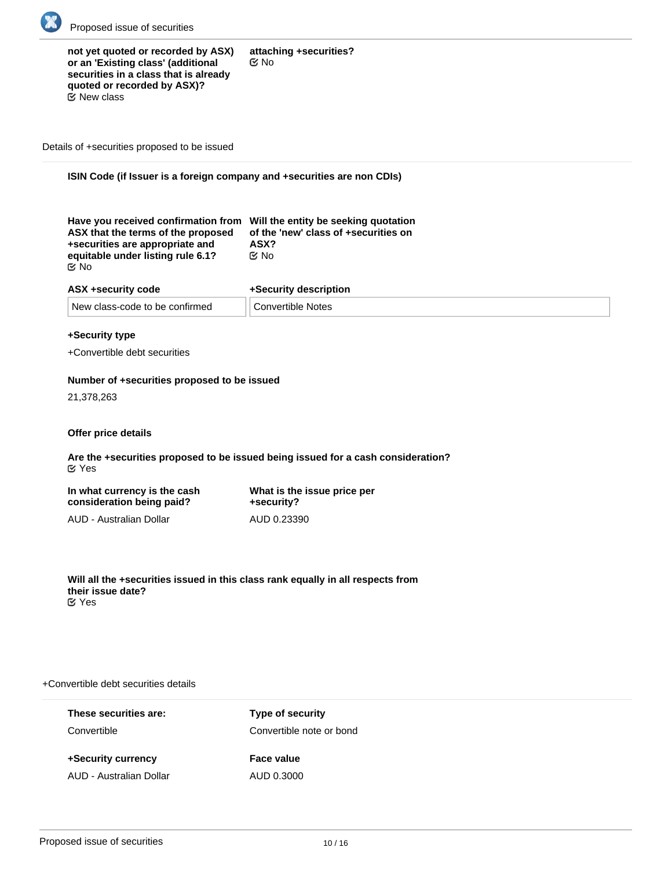

| not yet quoted or recorded by ASX)<br>or an 'Existing class' (additional<br>securities in a class that is already<br>quoted or recorded by ASX)? | attaching +securities?<br>় No |
|--------------------------------------------------------------------------------------------------------------------------------------------------|--------------------------------|
|                                                                                                                                                  |                                |
| <b>E</b> ⁄ New class                                                                                                                             |                                |

Details of +securities proposed to be issued

# **ISIN Code (if Issuer is a foreign company and +securities are non CDIs)**

| Have you received confirmation from Will the entity be seeking quotation<br>ASX that the terms of the proposed<br>+securities are appropriate and<br>ASX?<br>় No<br>equitable under listing rule 6.1?<br>় No | of the 'new' class of +securities on |
|----------------------------------------------------------------------------------------------------------------------------------------------------------------------------------------------------------------|--------------------------------------|
|----------------------------------------------------------------------------------------------------------------------------------------------------------------------------------------------------------------|--------------------------------------|

| ASX +security code             | +Security description    |
|--------------------------------|--------------------------|
| New class-code to be confirmed | <b>Convertible Notes</b> |

# **+Security type**

+Convertible debt securities

# **Number of +securities proposed to be issued**

21,378,263

## **Offer price details**

**Are the +securities proposed to be issued being issued for a cash consideration?** Yes

| In what currency is the cash | What is the issue price per |
|------------------------------|-----------------------------|
| consideration being paid?    | +security?                  |
| AUD - Australian Dollar      | AUD 0.23390                 |

**Will all the +securities issued in this class rank equally in all respects from their issue date?** Yes

# +Convertible debt securities details

| These securities are:   | <b>Type of security</b>  |
|-------------------------|--------------------------|
| Convertible             | Convertible note or bond |
|                         |                          |
|                         |                          |
| +Security currency      | Face value               |
| AUD - Australian Dollar | AUD 0.3000               |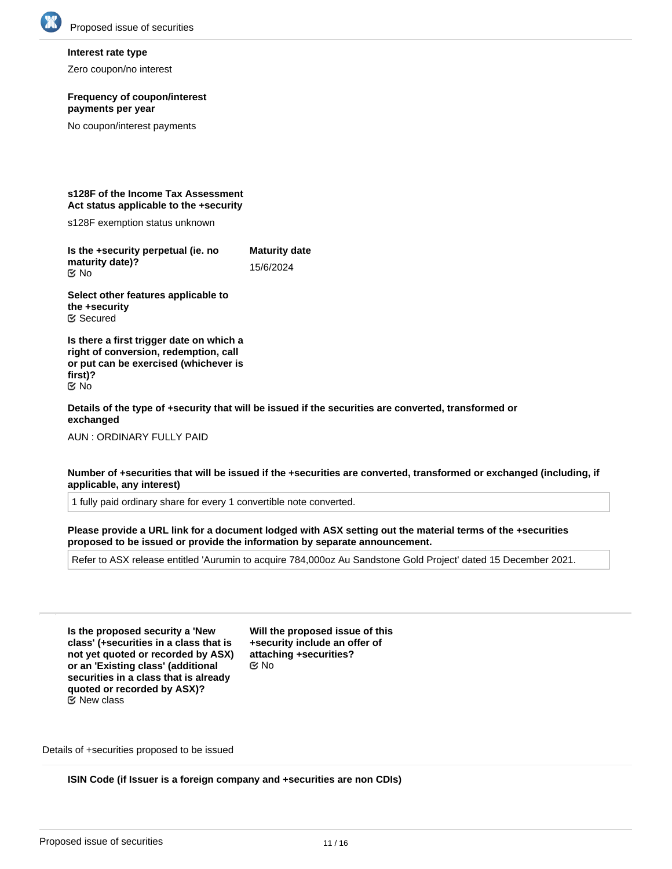

#### **Interest rate type**

Zero coupon/no interest

#### **Frequency of coupon/interest payments per year**

No coupon/interest payments

#### **s128F of the Income Tax Assessment Act status applicable to the +security**

s128F exemption status unknown

**Is the +security perpetual (ie. no maturity date)? Maturity date** 15/6/2024 No

**Select other features applicable to the +security** Secured

**Is there a first trigger date on which a right of conversion, redemption, call or put can be exercised (whichever is first)?** No

**Details of the type of +security that will be issued if the securities are converted, transformed or exchanged**

AUN : ORDINARY FULLY PAID

**Number of +securities that will be issued if the +securities are converted, transformed or exchanged (including, if applicable, any interest)**

1 fully paid ordinary share for every 1 convertible note converted.

**Please provide a URL link for a document lodged with ASX setting out the material terms of the +securities proposed to be issued or provide the information by separate announcement.**

Refer to ASX release entitled 'Aurumin to acquire 784,000oz Au Sandstone Gold Project' dated 15 December 2021.

**Is the proposed security a 'New class' (+securities in a class that is not yet quoted or recorded by ASX) or an 'Existing class' (additional securities in a class that is already quoted or recorded by ASX)?**  $\mathfrak{S}$  New class

**Will the proposed issue of this +security include an offer of attaching +securities?** No

Details of +securities proposed to be issued

**ISIN Code (if Issuer is a foreign company and +securities are non CDIs)**

**Have you received confirmation from Will the entity be seeking quotation**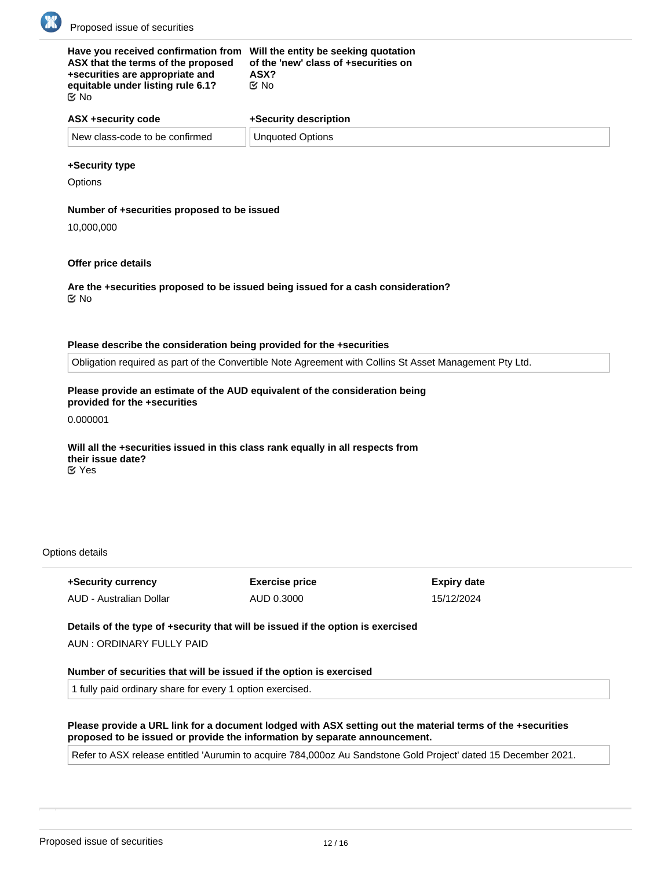

| Have you received confirmation from Will the entity be seeking quotation<br>ASX that the terms of the proposed<br>+securities are appropriate and<br>equitable under listing rule 6.1?<br>় No | of the 'new' class of +securities on<br>ASX?<br>C⁄No |
|------------------------------------------------------------------------------------------------------------------------------------------------------------------------------------------------|------------------------------------------------------|
| ASX +security code                                                                                                                                                                             | +Security description                                |
| New class-code to be confirmed                                                                                                                                                                 | <b>Unquoted Options</b>                              |

# **+Security type**

**Options** 

### **Number of +securities proposed to be issued**

10,000,000

### **Offer price details**

**Are the +securities proposed to be issued being issued for a cash consideration?** No

### **Please describe the consideration being provided for the +securities**

Obligation required as part of the Convertible Note Agreement with Collins St Asset Management Pty Ltd.

# **Please provide an estimate of the AUD equivalent of the consideration being provided for the +securities**

0.000001

#### **Will all the +securities issued in this class rank equally in all respects from their issue date?** Yes

#### Options details

| +Security currency      | <b>Exercise price</b> | <b>Expiry date</b> |
|-------------------------|-----------------------|--------------------|
| AUD - Australian Dollar | AUD 0.3000            | 15/12/2024         |

## **Details of the type of +security that will be issued if the option is exercised**

AUN : ORDINARY FULLY PAID

#### **Number of securities that will be issued if the option is exercised**

**Is the proposed security a 'New Will the proposed issue of this**

1 fully paid ordinary share for every 1 option exercised.

### **Please provide a URL link for a document lodged with ASX setting out the material terms of the +securities proposed to be issued or provide the information by separate announcement.**

Refer to ASX release entitled 'Aurumin to acquire 784,000oz Au Sandstone Gold Project' dated 15 December 2021.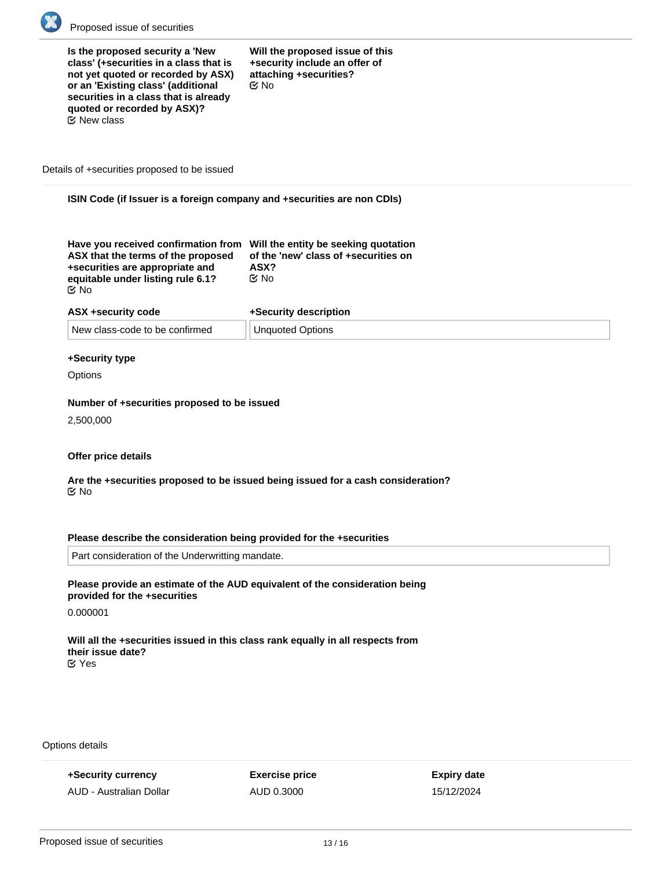

**Is the proposed security a 'New class' (+securities in a class that is not yet quoted or recorded by ASX) or an 'Existing class' (additional securities in a class that is already quoted or recorded by ASX)?**  $E$  New class

**Will the proposed issue of this +security include an offer of attaching +securities?** No

Details of +securities proposed to be issued

**ISIN Code (if Issuer is a foreign company and +securities are non CDIs)**

| Have you received confirmation from Will the entity be seeking quotation<br>ASX that the terms of the proposed | of the 'new' class of +securities on |
|----------------------------------------------------------------------------------------------------------------|--------------------------------------|
| +securities are appropriate and                                                                                | ASX?                                 |
| equitable under listing rule 6.1?                                                                              | ় No                                 |
| ା ⊠                                                                                                            |                                      |

| ASX +security code             | +Security description         |
|--------------------------------|-------------------------------|
| New class-code to be confirmed | <sup>⊥</sup> Unquoted Options |

#### **+Security type**

**Options** 

#### **Number of +securities proposed to be issued**

2,500,000

#### **Offer price details**

**Are the +securities proposed to be issued being issued for a cash consideration?** No

## **Please describe the consideration being provided for the +securities**

Part consideration of the Underwritting mandate.

# **Please provide an estimate of the AUD equivalent of the consideration being provided for the +securities**

0.000001

**Will all the +securities issued in this class rank equally in all respects from their issue date?** Yes

**Details of the type of +security that will be issued if the option is exercised**

Options details

**+Security currency** AUD - Australian Dollar **Exercise price** AUD 0.3000

**Expiry date** 15/12/2024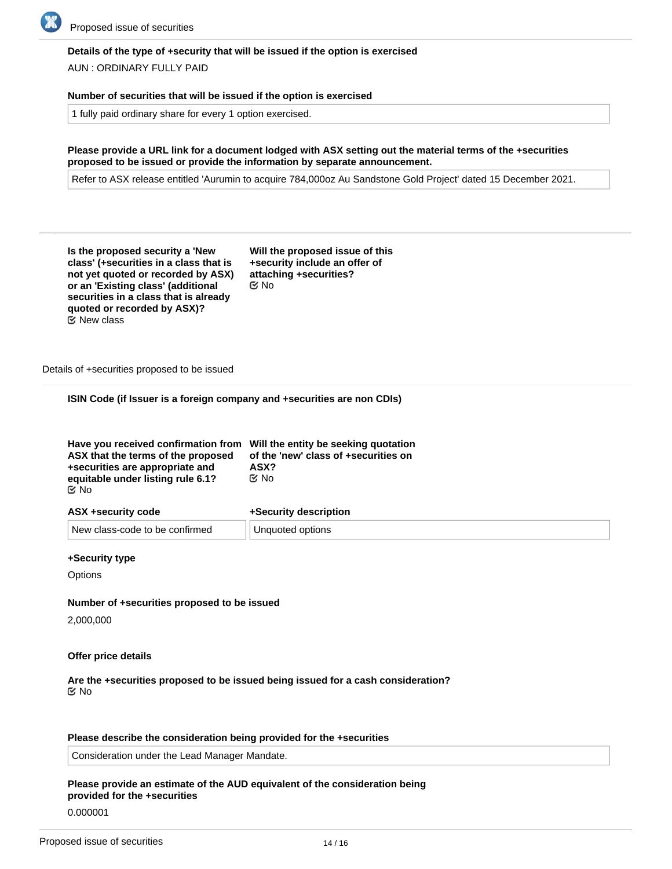

# **Details of the type of +security that will be issued if the option is exercised**

AUN : ORDINARY FULLY PAID

#### **Number of securities that will be issued if the option is exercised**

1 fully paid ordinary share for every 1 option exercised.

**Please provide a URL link for a document lodged with ASX setting out the material terms of the +securities proposed to be issued or provide the information by separate announcement.**

Refer to ASX release entitled 'Aurumin to acquire 784,000oz Au Sandstone Gold Project' dated 15 December 2021.

| Is the proposed security a 'New        |
|----------------------------------------|
| class' (+securities in a class that is |
| not yet quoted or recorded by ASX)     |
| or an 'Existing class' (additional     |
| securities in a class that is already  |
| quoted or recorded by ASX)?            |
| $\bm{\mathfrak{\text{C}}}$ New class   |

**Will the proposed issue of this +security include an offer of attaching +securities?** No

Details of +securities proposed to be issued

**ISIN Code (if Issuer is a foreign company and +securities are non CDIs)**

| Have you received confirmation from Will the entity be seeking quotation<br>ASX that the terms of the proposed<br>+securities are appropriate and | of the 'new' class of +securities on<br>ASX? |
|---------------------------------------------------------------------------------------------------------------------------------------------------|----------------------------------------------|
| equitable under listing rule 6.1?                                                                                                                 | C⁄No                                         |
| ় No                                                                                                                                              |                                              |

| ASX +security code             | +Security description |
|--------------------------------|-----------------------|
| New class-code to be confirmed | Unquoted options      |

#### **+Security type**

**Options** 

### **Number of +securities proposed to be issued**

2,000,000

#### **Offer price details**

**Are the +securities proposed to be issued being issued for a cash consideration?** No

#### **Please describe the consideration being provided for the +securities**

Consideration under the Lead Manager Mandate.

## **Please provide an estimate of the AUD equivalent of the consideration being provided for the +securities**

0.000001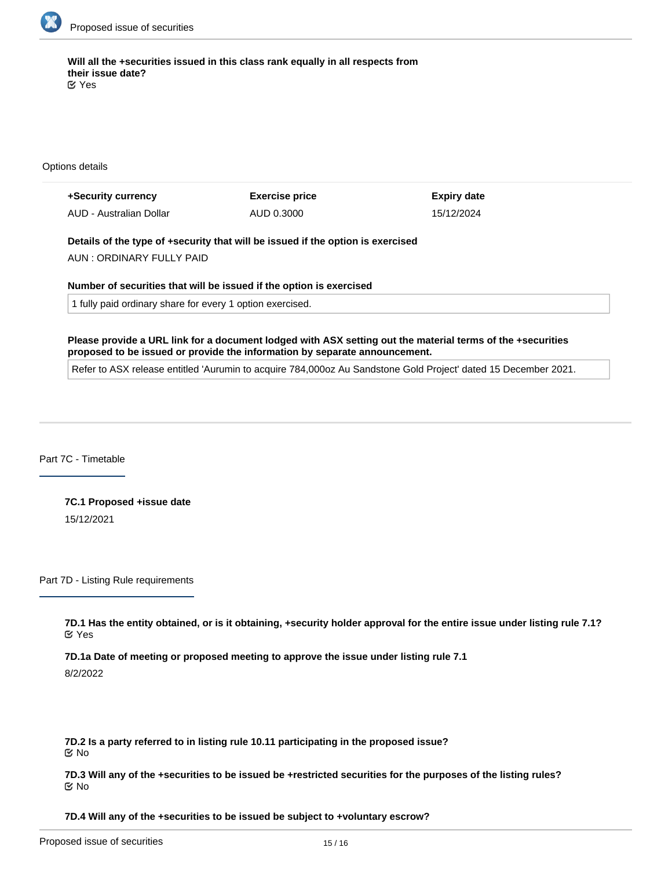

**Will all the +securities issued in this class rank equally in all respects from their issue date?** Yes

Options details

| +Security currency      | <b>Exercise price</b> | Expiry date |
|-------------------------|-----------------------|-------------|
| AUD - Australian Dollar | AUD 0.3000            | 15/12/2024  |

**Details of the type of +security that will be issued if the option is exercised**

AUN : ORDINARY FULLY PAID

**Number of securities that will be issued if the option is exercised**

1 fully paid ordinary share for every 1 option exercised.

**Please provide a URL link for a document lodged with ASX setting out the material terms of the +securities proposed to be issued or provide the information by separate announcement.**

Refer to ASX release entitled 'Aurumin to acquire 784,000oz Au Sandstone Gold Project' dated 15 December 2021.

Part 7C - Timetable

**7C.1 Proposed +issue date** 15/12/2021

Part 7D - Listing Rule requirements

**7D.1 Has the entity obtained, or is it obtaining, +security holder approval for the entire issue under listing rule 7.1?** Yes

**7D.1a Date of meeting or proposed meeting to approve the issue under listing rule 7.1**

8/2/2022

**7D.2 Is a party referred to in listing rule 10.11 participating in the proposed issue?** No

**7D.3 Will any of the +securities to be issued be +restricted securities for the purposes of the listing rules?** No

**7D.4 Will any of the +securities to be issued be subject to +voluntary escrow?**